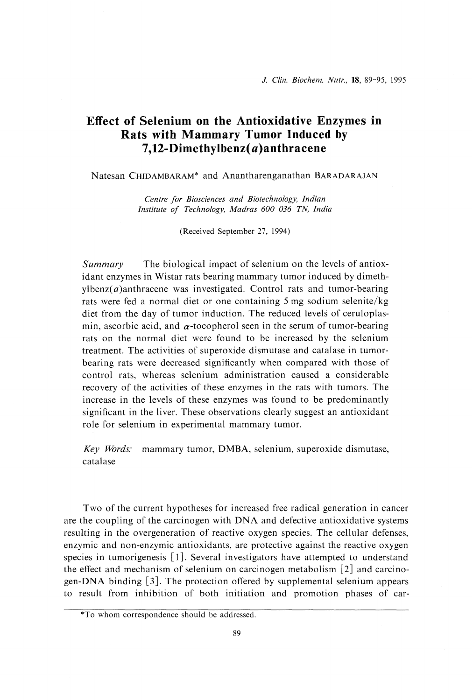# Effect of Selenium on the Antioxidative Enzymes in Rats with Mammary Tumor Induced by 7,12-Dimethylbenz(a)anthracene

Natesan CHIDAMBARAM\* and Anantharenganathan BARADARAJAN

Centre for Biosciences and Biotechnology, Indian Institute of Technology, Madras 600 036 TN, India

(Received September 27, 1994)

Summary The biological impact of selenium on the levels of antioxidant enzymes in Wistar rats bearing mammary tumor induced by dimethylbenz( $a$ )anthracene was investigated. Control rats and tumor-bearing rats were fed a normal diet or one containing 5 mg sodium selenite/kg diet from the day of tumor induction. The reduced levels of ceruloplasmin, ascorbic acid, and  $\alpha$ -tocopherol seen in the serum of tumor-bearing rats on the normal diet were found to be increased by the selenium treatment. The activities of superoxide dismutase and catalase in tumorbearing rats were decreased significantly when compared with those of control rats, whereas selenium administration caused a considerable recovery of the activities of these enzymes in the rats with tumors. The increase in the levels of these enzymes was found to be predominantly significant in the liver. These observations clearly suggest an antioxidant role for selenium in experimental mammary tumor.

Key Words: mammary tumor, DMBA, selenium, superoxide dismutase, catalase

 Two of the current hypotheses for increased free radical generation in cancer are the coupling of the carcinogen with DNA and defective antioxidative systems resulting in the overgeneration of reactive oxygen species. The cellular defenses, enzymic and non-enzymic antioxidants, are protective against the reactive oxygen species in tumorigenesis [1]. Several investigators have attempted to understand the effect and mechanism of selenium on carcinogen metabolism [2] and carcinogen-DNA binding [3]. The protection offered by supplemental selenium appears to result from inhibition of both initiation and promotion phases of car-

<sup>\*</sup>To whom correspondence should be addressed .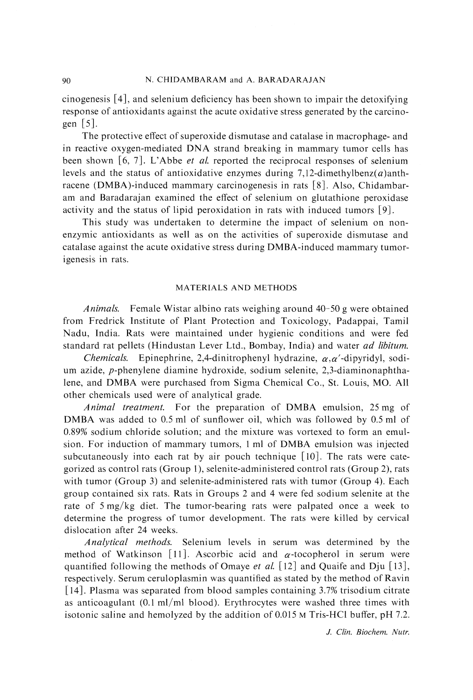cinogenesis [4], and selenium deficiency has been shown to impair the detoxifying response of antioxidants against the acute oxidative stress generated by the carcinogen [5].

 The protective effect of superoxide dismutase and catalase in macrophage- and in reactive oxygen-mediated DNA strand breaking in mammary tumor cells has been shown  $[6, 7]$ . L'Abbe *et al.* reported the reciprocal responses of selenium levels and the status of antioxidative enzymes during 7,12-dimethylbenz $(a)$ anthracene (DMBA)-induced mammary carcinogenesis in rats [8] . Also, Chidambaram and Baradarajan examined the effect of selenium on glutathione peroxidase activity and the status of lipid peroxidation in rats with induced tumors [9].

This study was undertaken to determine the impact of selenium on nonenzymic antioxidants as well as on the activities of superoxide dismutase and catalase against the acute oxidative stress during DMBA-induced mammary tumorigenesis in rats.

## MATERIALS AND METHODS

Animals. Female Wistar albino rats weighing around 40-50 g were obtained from Fredrick Institute of Plant Protection and Toxicology, Padappai, Tamil Nadu, India. Rats were maintained under hygienic conditions and were fed standard rat pellets (Hindustan Lever Ltd., Bombay, India) and water ad libitum.

Chemicals. Epinephrine, 2,4-dinitrophenyl hydrazine,  $\alpha, \alpha'$ -dipyridyl, sodium azide, p-phenylene diamine hydroxide, sodium selenite, 2,3-diaminonaphthalene, and DMBA were purchased from Sigma Chemical Co., St. Louis, MO. All other chemicals used were of analytical grade.

Animal treatment. For the preparation of DMBA emulsion, 25 mg of DMBA was added to 0.5 ml of sunflower oil, which was followed by 0.5 ml of 0.89% sodium chloride solution; and the mixture was vortexed to form an emulsion. For induction of mammary tumors, 1 ml of DMBA emulsion was injected subcutaneously into each rat by air pouch technique [10]. The rats were categorized as control rats (Group 1), selenite-administered control rats (Group 2), rats with tumor (Group 3) and selenite-administered rats with tumor (Group 4). Each group contained six rats. Rats in Groups 2 and 4 were fed sodium selenite at the rate of 5 mg/kg diet. The tumor-bearing rats were palpated once a week to determine the progress of tumor development. The rats were killed by cervical dislocation after 24 weeks.

Analytical methods. Selenium levels in serum was determined by the method of Watkinson [11]. Ascorbic acid and  $\alpha$ -tocopherol in serum were quantified following the methods of Omaye et al. [12] and Quaife and Dju [13], respectively. Serum ceruloplasmin was quantified as stated by the method of Ravin [14]. Plasma was separated from blood samples containing  $3.7\%$  trisodium citrate as anticoagulant  $(0.1 \text{ ml/ml blood})$ . Erythrocytes were washed three times with isotonic saline and hemolyzed by the addition of 0.015 M Tris-HC1 buffer, pH 7.2.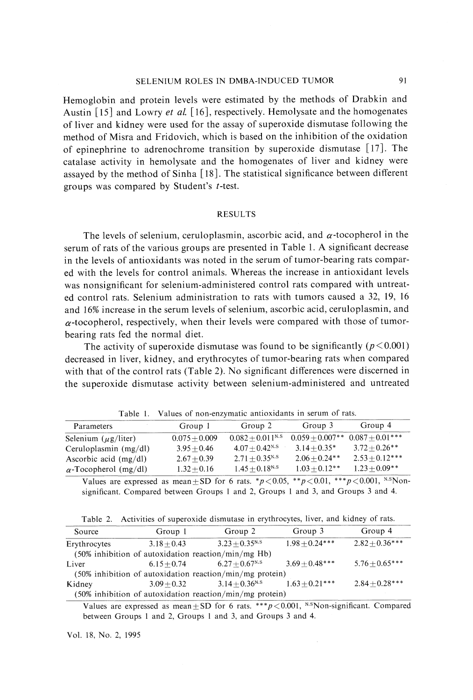### SELENIUM ROLES IN DMBA-INDUCED TUMOR 91

Hemoglobin and protein levels were estimated by the methods of Drabkin and Austin  $[15]$  and Lowry et al.  $[16]$ , respectively. Hemolysate and the homogenates of liver and kidney were used for the assay of superoxide dismutase following the method of Misra and Fridovich, which is based on the inhibition of the oxidation of epinephrine to adrenochrome transition by superoxide dismutase [17]. The catalase activity in hemolysate and the homogenates of liver and kidney were assayed by the method of Sinha [18]. The statistical significance between different groups was compared by Student's t-test.

## RESULTS

The levels of selenium, ceruloplasmin, ascorbic acid, and  $\alpha$ -tocopherol in the serum of rats of the various groups are presented in Table 1. A significant decrease in the levels of antioxidants was noted in the serum of tumor-bearing rats compared with the levels for control animals. Whereas the increase in antioxidant levels was nonsignificant for selenium-administered control rats compared with untreated control rats. Selenium administration to rats with tumors caused a 32, 19, 16 and 16% increase in the serum levels of selenium, ascorbic acid, ceruloplasmin, and  $\alpha$ -tocopherol, respectively, when their levels were compared with those of tumorbearing rats fed the normal diet.

The activity of superoxide dismutase was found to be significantly ( $p < 0.001$ ) decreased in liver, kidney, and erythrocytes of tumor-bearing rats when compared with that of the control rats (Table 2). No significant differences were discerned in the superoxide dismutase activity between selenium-administered and untreated

| Parameters                   | Group 1         | Group 2                        | Group 3          | Group 4                             |  |  |
|------------------------------|-----------------|--------------------------------|------------------|-------------------------------------|--|--|
| Selenium $(\mu g/liter)$     | $0.075 + 0.009$ | $0.082 + 0.011$ <sup>N.S</sup> |                  | $0.059 + 0.007**$ $0.087 + 0.01***$ |  |  |
| Ceruloplasmin $(mg/dl)$      | $3.95 + 0.46$   | $4.07 + 0.42$ <sup>N.S</sup>   | $3.14 + 0.35*$   | $3.72 + 0.26**$                     |  |  |
| Ascorbic acid $(mg/dl)$      | $2.67 + 0.39$   | $2.71 + 0.35$ <sup>N.S</sup>   | $2.06 + 0.24$ ** | $2.53 + 0.12***$                    |  |  |
| $\alpha$ -Tocopherol (mg/dl) | $1.32 + 0.16$   | $1.45 + 0.18$ <sup>N.S</sup>   | $1.03 + 0.12**$  | $1.23 + 0.09**$                     |  |  |

Table 1. Values of non-enzymatic antioxidants in serum of rats.

Values are expressed as mean  $\pm$  SD for 6 rats. \*  $p < 0.05$ , \*\* $p < 0.01$ , \*\*\*  $p < 0.001$ , N.SNonsignificant. Compared between Groups 1 and 2, Groups 1 and 3, and Groups 3 and 4.

| Table 2. | Activities of superoxide dismutase in erythrocytes, liver, and kidney of rats. |  |  |  |  |
|----------|--------------------------------------------------------------------------------|--|--|--|--|
|          |                                                                                |  |  |  |  |

| Source       | Group 1       | Group 2                                                     | Group 3          | Group 4            |
|--------------|---------------|-------------------------------------------------------------|------------------|--------------------|
| Erythrocytes | $3.18 + 0.43$ | $3.23 + 0.35$ <sup>N.S</sup>                                | $1.98 + 0.24***$ | $2.82 \pm 0.36***$ |
|              |               | (50% inhibition of autoxidation reaction/min/mg Hb)         |                  |                    |
| Liver        | $6.15 + 0.74$ | $6.27 + 0.67$ <sup>N.S</sup>                                | $3.69 + 0.48***$ | $5.76 + 0.65***$   |
|              |               | $(50\%$ inhibition of autoxidation reaction/min/mg protein) |                  |                    |
| Kidney       | $3.09 + 0.32$ | $3.14 + 0.36$ <sup>N.S</sup>                                | $1.63 + 0.21***$ | $2.84 \pm 0.28***$ |
|              |               | $(50\%$ inhibition of autoxidation reaction/min/mg protein) |                  |                    |

Values are expressed as mean  $\pm$  SD for 6 rats. \*\*\*  $p$  < 0.001, N.SNon-significant. Compared between Groups 1 and 2, Groups 1 and 3, and Groups 3 and 4.

Vol. 18, No. 2, 1995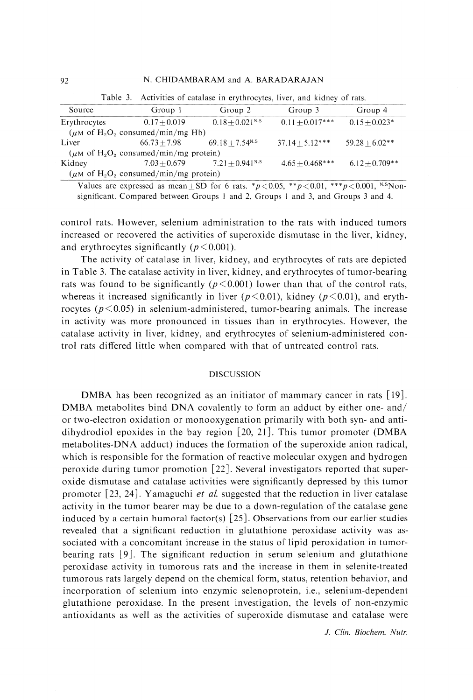| Source                                                              | Group 1                                                             | Group 2                       | Group 3           | Group 4          |  |  |
|---------------------------------------------------------------------|---------------------------------------------------------------------|-------------------------------|-------------------|------------------|--|--|
| Erythrocytes                                                        | $0.17 + 0.019$                                                      | $0.18 + 0.021$ <sup>N.S</sup> | $0.11 + 0.017***$ | $0.15 + 0.023*$  |  |  |
| $(\mu M \text{ of } H_2O_2 \text{ consumed/min/mg Hb})$             |                                                                     |                               |                   |                  |  |  |
| Liver                                                               | $66.73 + 7.98$                                                      | $69.18 + 7.54$ <sup>N.S</sup> | $37.14 + 5.12***$ | $59.28 + 6.02**$ |  |  |
| ( $\mu$ M of H <sub>2</sub> O <sub>2</sub> consumed/min/mg protein) |                                                                     |                               |                   |                  |  |  |
| Kidney                                                              | $7.03 + 0.679$                                                      | $7.21 + 0.941$ <sup>N.S</sup> | $4.65 + 0.468***$ | $6.12+0.709**$   |  |  |
|                                                                     | ( $\mu$ M of H <sub>2</sub> O <sub>2</sub> consumed/min/mg protein) |                               |                   |                  |  |  |

Table 3. Activities of catalase in erythrocytes, liver, and kidney of rats.

Values are expressed as mean  $\pm$  SD for 6 rats. \* $p < 0.05$ , \*\* $p < 0.01$ , \*\*\* $p < 0.001$ , N.SNonsignificant. Compared between Groups 1 and 2, Groups 1 and 3, and Groups 3 and 4.

control rats. However, selenium administration to the rats with induced tumors increased or recovered the activities of superoxide dismutase in the liver, kidney, and erythrocytes significantly ( $p \le 0.001$ ).

The activity of catalase in liver, kidney, and erythrocytes of rats are depicted in Table 3. The catalase activity in liver, kidney, and erythrocytes of tumor-bearing rats was found to be significantly ( $p < 0.001$ ) lower than that of the control rats, whereas it increased significantly in liver ( $p<0.01$ ), kidney ( $p<0.01$ ), and erythrocytes ( $p < 0.05$ ) in selenium-administered, tumor-bearing animals. The increase in activity was more pronounced in tissues than in erythrocytes. However, the catalase activity in liver, kidney, and erythrocytes of selenium-administered control rats differed little when compared with that of untreated control rats.

#### DISCUSSION

 DMBA has been recognized as an initiator of mammary cancer in rats [19]. DMBA metabolites bind DNA covalently to form an adduct by either one- and/ or two-electron oxidation or monooxygenation primarily with both syn- and antidihydrodiol epoxides in the bay region  $[20, 21]$ . This tumor promoter (DMBA metabolites-DNA adduct) induces the formation of the superoxide anion radical, which is responsible for the formation of reactive molecular oxygen and hydrogen peroxide during tumor promotion [22]. Several investigators reported that superoxide dismutase and catalase activities were significantly depressed by this tumor promoter  $\left[23, 24\right]$ . Yamaguchi *et al.* suggested that the reduction in liver catalase activity in the tumor bearer may be due to a down-regulation of the catalase gene induced by a certain humoral factor(s)  $[25]$ . Observations from our earlier studies revealed that a significant reduction in glutathione peroxidase activity was associated with a concomitant increase in the status of lipid peroxidation in tumorbearing rats [9]. The significant reduction in serum selenium and glutathione peroxidase activity in tumorous rats and the increase in them in selenite-treated tumorous rats largely depend on the chemical form, status, retention behavior, and incorporation of selenium into enzymic selenoprotein, i.e., selenium-dependent glutathione peroxidase. In the present investigation, the levels of non-enzymic antioxidants as well as the activities of superoxide dismutase and catalase were

J. Clin. Biochem. Nutr.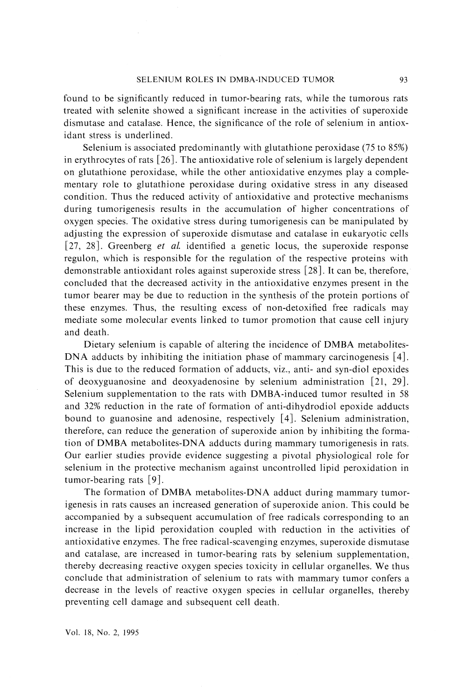found to be significantly reduced in tumor-bearing rats, while the tumorous rats treated with selenite showed a significant increase in the activities of superoxide dismutase and catalase. Hence, the significance of the role of selenium in antioxidant stress is underlined.

Selenium is associated predominantly with glutathione peroxidase (75 to 85%) in erythrocytes of rats [26]. The antioxidative role of selenium is largely dependent on glutathione peroxidase, while the other antioxidative enzymes play a complementary role to glutathione peroxidase during oxidative stress in any diseased condition. Thus the reduced activity of antioxidative and protective mechanisms during tumorigenesis results in the accumulation of higher concentrations of oxygen species. The oxidative stress during tumorigenesis can be manipulated by adjusting the expression of superoxide dismutase and catalase in eukaryotic cells [27, 28]. Greenberg *et al.* identified a genetic locus, the superoxide response regulon, which is responsible for the regulation of the respective proteins with demonstrable antioxidant roles against superoxide stress [28]. It can be, therefore, concluded that the decreased activity in the antioxidative enzymes present in the tumor bearer may be due to reduction in the synthesis of the protein portions of these enzymes. Thus, the resulting excess of non-detoxified free radicals may mediate some molecular events linked to tumor promotion that cause cell injury and death.

 Dietary selenium is capable of altering the incidence of DMBA metabolites-DNA adducts by inhibiting the initiation phase of mammary carcinogenesis [4]. This is due to the reduced formation of adducts, viz., anti- and syn-diol epoxides of deoxyguanosine and deoxyadenosine by selenium administration [21, 29]. Selenium supplementation to the rats with DMBA-induced tumor resulted in 58 and 32% reduction in the rate of formation of anti-dihydrodiol epoxide adducts bound to guanosine and adenosine, respectively [4]. Selenium administration, therefore, can reduce the generation of superoxide anion by inhibiting the formation of DMBA metabolites-DNA adducts during mammary tumorigenesis in rats. Our earlier studies provide evidence suggesting a pivotal physiological role for selenium in the protective mechanism against uncontrolled lipid peroxidation in tumor-bearing rats [9].

The formation of DMBA metabolites-DNA adduct during mammary tumorigenesis in rats causes an increased generation of superoxide anion. This could be accompanied by a subsequent accumulation of free radicals corresponding to an increase in the lipid peroxidation coupled with reduction in the activities of antioxidative enzymes. The free radical-scavenging enzymes, superoxide dismutase and catalase, are increased in tumor-bearing rats by selenium supplementation, thereby decreasing reactive oxygen species toxicity in cellular organelles. We thus conclude that administration of selenium to rats with mammary tumor confers a decrease in the levels of reactive oxygen species in cellular organelles, thereby preventing cell damage and subsequent cell death.

Vol. 18, No. 2, 1995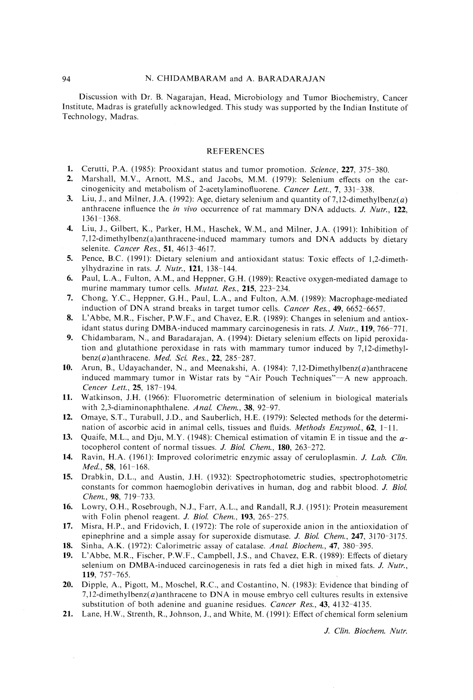Discussion with Dr. B. Nagarajan, Head, Microbiology and Tumor Biochemistry, Cancer Institute, Madras is gratefully acknowledged. This study was supported by the Indian Institute of Technology, Madras.

#### REFERENCES

- 1. Cerutti, P.A. (1985): Prooxidant status and tumor promotion. Science, 227, 375-380.
- 2. Marshall, M.V., Arnott, M.S., and Jacobs, M.M. (1979): Selenium effects on the carcinogenicity and metabolism of 2-acetylaminofluorene. Cancer Lett., 7, 331-338.
- 3. Liu, J., and Milner, J.A. (1992): Age, dietary selenium and quantity of 7,12-dimethylbenz $(a)$ anthracene influence the in vivo occurrence of rat mammary DNA adducts. J. Nutr., 122, 1361-1368.
- 4. Liu, J., Gilbert, K., Parker, H.M., Haschek, W.M., and Miler, J.A. (1991): Inhibition of 7,12-dimethylbenz(a)anthracene-induced mammary tumors and DNA adducts by dietary selenite. Cancer Res., 51, 4613-4617.
- 5. Pence, B.C. (1991): Dietary selenium and antioxidant status: Toxic effects of 1,2-dimethylhydrazine in rats. J. Nutr., 121, 138-144.
- 6. Paul, L.A., Fulton, A.M., and Heppner, G.H. (1989): Reactive oxygen-mediated damage to murine mammary tumor cells. *Mutat. Res.*, 215, 223-234.
- 7. Chong, Y.C., Heppner, G.H., Paul, L.A., and Fulton, A.M. (1989): Macrophage-mediated induction of DNA strand breaks in target tumor cells. Cancer Res., 49, 6652-6657.
- 8. L'Abbe, M.R., Fischer, P.W.F., and Chavez, E.R. (1989): Changes in selenium and antioxidant status during DMBA-induced mammary carcinogenesis in rats. J. Nutr., 119, 766-771.
- 9. Chidambaram, N., and Baradarajan, A. (1994): Dietary selenium effects on lipid peroxidation and glutathione peroxidase in rats with mammary tumor induced by 7,12-dimethylbenz $(a)$ anthracene. Med. Sci. Res., 22, 285-287.
- 10. Arun, B., Udayachander, N., and Meenakshi, A. (1984): 7,12-Dimethylbenz(*a*)anthracene induced mammary tumor in Wistar rats by "Air Pouch Techniques"-A new approach. Cencer Lett., 25, 187-194.
- 11. Watkinson, J.H. (1966): Fluorometric determination of selenium in biological materials with 2,3-diaminonaphthalene. Anal. Chem., 38, 92-97.
- 12. Omaye, S.T., Turabull, J.D., and Sauberlich, H.E. (1979): Selected methods for the determination of ascorbic acid in animal cells, tissues and fluids. *Methods Enzymol.*, 62, 1-11.
- 13. Quaife, M.L., and Dju, M.Y. (1948): Chemical estimation of vitamin E in tissue and the  $\alpha$ tocopherol content of normal tissues. J. Biol. Chem., 180, 263-272.
- 14. Ravin, H.A. (1961): Improved colorimetric enzymic assay of ceruloplasmin. J. Lab. Clin. Med., 58, 161-168.
- 15. Drabkin, D.L., and Austin, J.H. (1932): Spectrophotometric studies, spectrophotometric constants for common haemoglobin derivatives in human, dog and rabbit blood. J. Biol. Chem., 98, 719-733.
- 16. Lowry, O.H., Rosebrough, N.J., Farr, A.L., and Randall, R.J. (1951): Protein measurement with Folin phenol reagent. *J. Biol. Chem.*, 193, 265-275.
- 17. Misra, H.P., and Fridovich, I. (1972): The role of superoxide anion in the antioxidation of epinephrine and a simple assay for superoxide dismutase. J. Biol. Chem., 247, 3170-3175. 18. Sinha, A.K. (1972): Calorimetric assay of catalase. Anal. Biochem., 47, 380-395.
- 19. L'Abbe, M.R., Fischer, P.W.F., Campbell, J.S., and Chavez, E.R. (1989): Effects of dietary selenium on DMBA-induced carcinogenesis in rats fed a diet high in mixed fats. J. Nutr., 119, 757-765.
- 20. Dipple, A., Pigott, M., Moschel, R.C., and Costantino, N. (1983): Evidence that binding of 7,12-dimethylbenz $(a)$ anthracene to DNA in mouse embryo cell cultures results in extensive substitution of both adenine and guanine residues. Cancer Res., 43, 4132-4135.
- 21. Lane, H.W., Strenth, R., Johnson, J., and White, M. (1991): Effect of chemical form selenium

J. Clin. Biochem. Nutr.